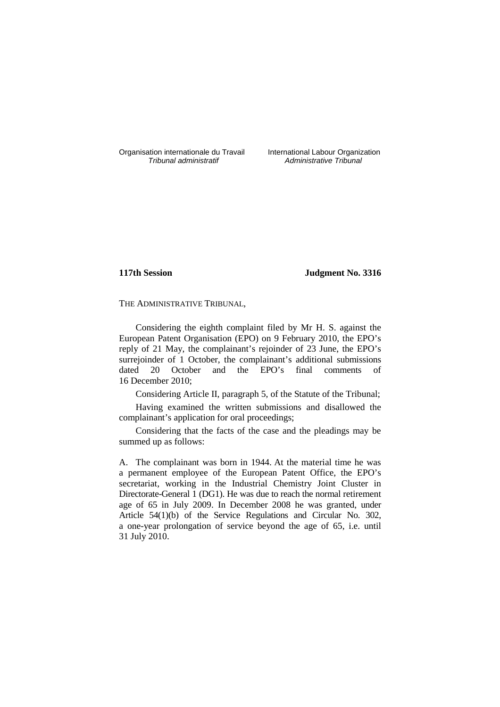Organisation internationale du Travail International Labour Organization<br>*Tribunal administratif* Administrative Tribunal

Administrative Tribunal

# **117th Session Judgment No. 3316**

THE ADMINISTRATIVE TRIBUNAL,

Considering the eighth complaint filed by Mr H. S. against the European Patent Organisation (EPO) on 9 February 2010, the EPO's reply of 21 May, the complainant's rejoinder of 23 June, the EPO's surrejoinder of 1 October, the complainant's additional submissions dated 20 October and the EPO's final comments of 16 December 2010;

Considering Article II, paragraph 5, of the Statute of the Tribunal;

Having examined the written submissions and disallowed the complainant's application for oral proceedings;

Considering that the facts of the case and the pleadings may be summed up as follows:

A. The complainant was born in 1944. At the material time he was a permanent employee of the European Patent Office, the EPO's secretariat, working in the Industrial Chemistry Joint Cluster in Directorate-General 1 (DG1). He was due to reach the normal retirement age of 65 in July 2009. In December 2008 he was granted, under Article 54(1)(b) of the Service Regulations and Circular No. 302, a one-year prolongation of service beyond the age of 65, i.e. until 31 July 2010.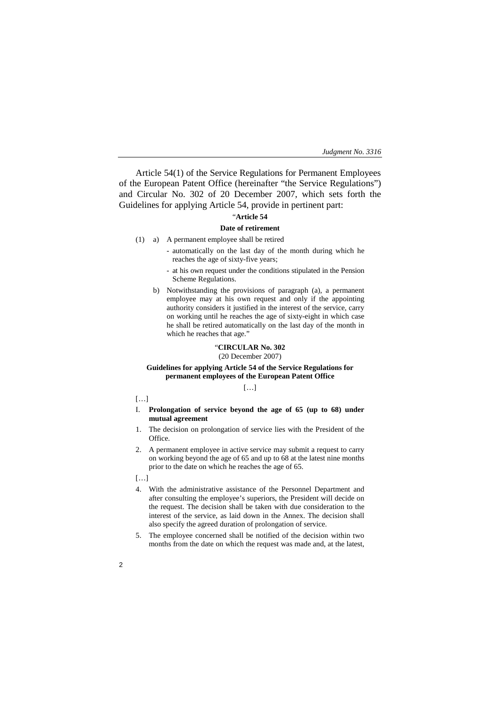Article 54(1) of the Service Regulations for Permanent Employees of the European Patent Office (hereinafter "the Service Regulations") and Circular No. 302 of 20 December 2007, which sets forth the Guidelines for applying Article 54, provide in pertinent part:

# "**Article 54**

# **Date of retirement**

- (1) a) A permanent employee shall be retired
	- automatically on the last day of the month during which he reaches the age of sixty-five years;
	- at his own request under the conditions stipulated in the Pension Scheme Regulations.
	- b) Notwithstanding the provisions of paragraph (a), a permanent employee may at his own request and only if the appointing authority considers it justified in the interest of the service, carry on working until he reaches the age of sixty-eight in which case he shall be retired automatically on the last day of the month in which he reaches that age."

# "**CIRCULAR No. 302**

(20 December 2007)

## **Guidelines for applying Article 54 of the Service Regulations for permanent employees of the European Patent Office**

 $[...]$ 

- $[...]$
- I. **Prolongation of service beyond the age of 65 (up to 68) under mutual agreement**
- 1. The decision on prolongation of service lies with the President of the Office.
- 2. A permanent employee in active service may submit a request to carry on working beyond the age of 65 and up to 68 at the latest nine months prior to the date on which he reaches the age of 65.
- […]
- 4. With the administrative assistance of the Personnel Department and after consulting the employee's superiors, the President will decide on the request. The decision shall be taken with due consideration to the interest of the service, as laid down in the Annex. The decision shall also specify the agreed duration of prolongation of service.
- 5. The employee concerned shall be notified of the decision within two months from the date on which the request was made and, at the latest,
- 2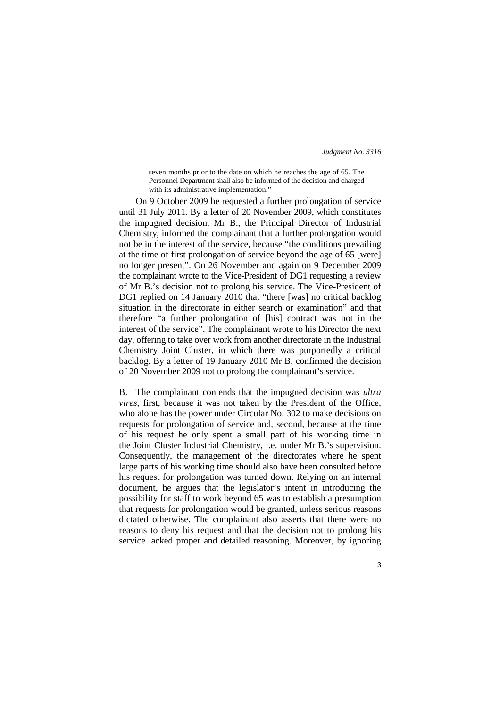seven months prior to the date on which he reaches the age of 65. The Personnel Department shall also be informed of the decision and charged with its administrative implementation."

On 9 October 2009 he requested a further prolongation of service until 31 July 2011. By a letter of 20 November 2009, which constitutes the impugned decision, Mr B., the Principal Director of Industrial Chemistry, informed the complainant that a further prolongation would not be in the interest of the service, because "the conditions prevailing at the time of first prolongation of service beyond the age of 65 [were] no longer present". On 26 November and again on 9 December 2009 the complainant wrote to the Vice-President of DG1 requesting a review of Mr B.'s decision not to prolong his service. The Vice-President of DG1 replied on 14 January 2010 that "there [was] no critical backlog situation in the directorate in either search or examination" and that therefore "a further prolongation of [his] contract was not in the interest of the service". The complainant wrote to his Director the next day, offering to take over work from another directorate in the Industrial Chemistry Joint Cluster, in which there was purportedly a critical backlog. By a letter of 19 January 2010 Mr B. confirmed the decision of 20 November 2009 not to prolong the complainant's service.

B. The complainant contends that the impugned decision was *ultra vires*, first, because it was not taken by the President of the Office, who alone has the power under Circular No. 302 to make decisions on requests for prolongation of service and, second, because at the time of his request he only spent a small part of his working time in the Joint Cluster Industrial Chemistry, i.e. under Mr B.'s supervision. Consequently, the management of the directorates where he spent large parts of his working time should also have been consulted before his request for prolongation was turned down. Relying on an internal document, he argues that the legislator's intent in introducing the possibility for staff to work beyond 65 was to establish a presumption that requests for prolongation would be granted, unless serious reasons dictated otherwise. The complainant also asserts that there were no reasons to deny his request and that the decision not to prolong his service lacked proper and detailed reasoning. Moreover, by ignoring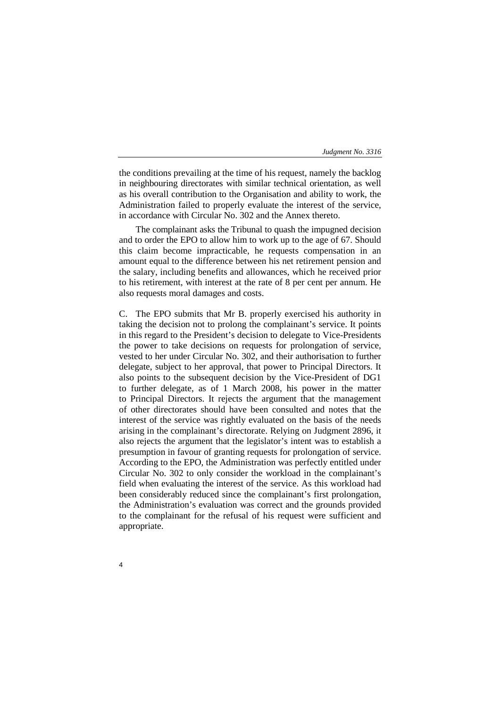the conditions prevailing at the time of his request, namely the backlog in neighbouring directorates with similar technical orientation, as well as his overall contribution to the Organisation and ability to work, the Administration failed to properly evaluate the interest of the service, in accordance with Circular No. 302 and the Annex thereto.

The complainant asks the Tribunal to quash the impugned decision and to order the EPO to allow him to work up to the age of 67. Should this claim become impracticable, he requests compensation in an amount equal to the difference between his net retirement pension and the salary, including benefits and allowances, which he received prior to his retirement, with interest at the rate of 8 per cent per annum. He also requests moral damages and costs.

C. The EPO submits that Mr B. properly exercised his authority in taking the decision not to prolong the complainant's service. It points in this regard to the President's decision to delegate to Vice-Presidents the power to take decisions on requests for prolongation of service, vested to her under Circular No. 302, and their authorisation to further delegate, subject to her approval, that power to Principal Directors. It also points to the subsequent decision by the Vice-President of DG1 to further delegate, as of 1 March 2008, his power in the matter to Principal Directors. It rejects the argument that the management of other directorates should have been consulted and notes that the interest of the service was rightly evaluated on the basis of the needs arising in the complainant's directorate. Relying on Judgment 2896, it also rejects the argument that the legislator's intent was to establish a presumption in favour of granting requests for prolongation of service. According to the EPO, the Administration was perfectly entitled under Circular No. 302 to only consider the workload in the complainant's field when evaluating the interest of the service. As this workload had been considerably reduced since the complainant's first prolongation, the Administration's evaluation was correct and the grounds provided to the complainant for the refusal of his request were sufficient and appropriate.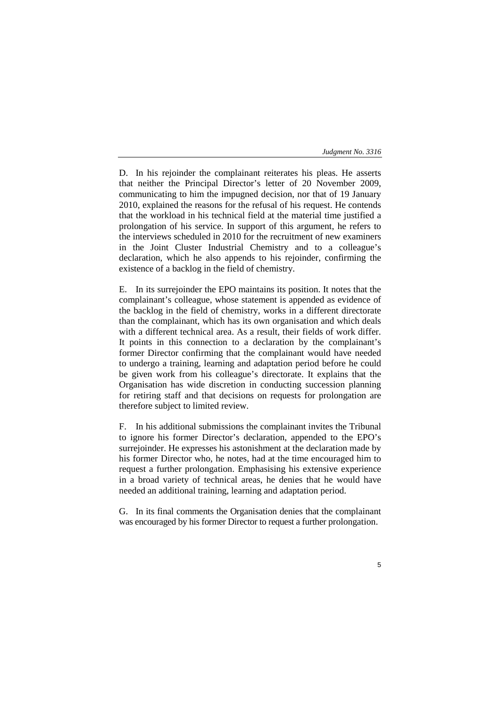D. In his rejoinder the complainant reiterates his pleas. He asserts that neither the Principal Director's letter of 20 November 2009, communicating to him the impugned decision, nor that of 19 January 2010, explained the reasons for the refusal of his request. He contends that the workload in his technical field at the material time justified a prolongation of his service. In support of this argument, he refers to the interviews scheduled in 2010 for the recruitment of new examiners in the Joint Cluster Industrial Chemistry and to a colleague's declaration, which he also appends to his rejoinder, confirming the existence of a backlog in the field of chemistry.

E. In its surrejoinder the EPO maintains its position. It notes that the complainant's colleague, whose statement is appended as evidence of the backlog in the field of chemistry, works in a different directorate than the complainant, which has its own organisation and which deals with a different technical area. As a result, their fields of work differ. It points in this connection to a declaration by the complainant's former Director confirming that the complainant would have needed to undergo a training, learning and adaptation period before he could be given work from his colleague's directorate. It explains that the Organisation has wide discretion in conducting succession planning for retiring staff and that decisions on requests for prolongation are therefore subject to limited review.

F. In his additional submissions the complainant invites the Tribunal to ignore his former Director's declaration, appended to the EPO's surrejoinder. He expresses his astonishment at the declaration made by his former Director who, he notes, had at the time encouraged him to request a further prolongation. Emphasising his extensive experience in a broad variety of technical areas, he denies that he would have needed an additional training, learning and adaptation period.

G. In its final comments the Organisation denies that the complainant was encouraged by his former Director to request a further prolongation.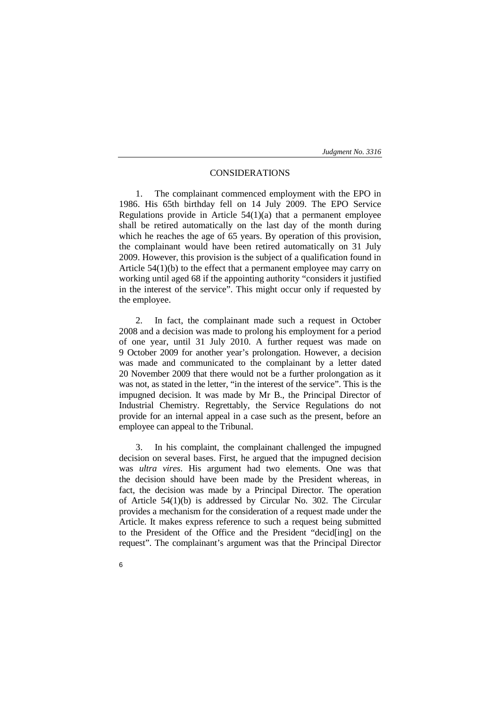# CONSIDERATIONS

1. The complainant commenced employment with the EPO in 1986. His 65th birthday fell on 14 July 2009. The EPO Service Regulations provide in Article  $54(1)(a)$  that a permanent employee shall be retired automatically on the last day of the month during which he reaches the age of 65 years. By operation of this provision, the complainant would have been retired automatically on 31 July 2009. However, this provision is the subject of a qualification found in Article 54(1)(b) to the effect that a permanent employee may carry on working until aged 68 if the appointing authority "considers it justified in the interest of the service". This might occur only if requested by the employee.

2. In fact, the complainant made such a request in October 2008 and a decision was made to prolong his employment for a period of one year, until 31 July 2010. A further request was made on 9 October 2009 for another year's prolongation. However, a decision was made and communicated to the complainant by a letter dated 20 November 2009 that there would not be a further prolongation as it was not, as stated in the letter, "in the interest of the service". This is the impugned decision. It was made by Mr B., the Principal Director of Industrial Chemistry. Regrettably, the Service Regulations do not provide for an internal appeal in a case such as the present, before an employee can appeal to the Tribunal.

3. In his complaint, the complainant challenged the impugned decision on several bases. First, he argued that the impugned decision was *ultra vires*. His argument had two elements. One was that the decision should have been made by the President whereas, in fact, the decision was made by a Principal Director. The operation of Article 54(1)(b) is addressed by Circular No. 302. The Circular provides a mechanism for the consideration of a request made under the Article. It makes express reference to such a request being submitted to the President of the Office and the President "decid[ing] on the request". The complainant's argument was that the Principal Director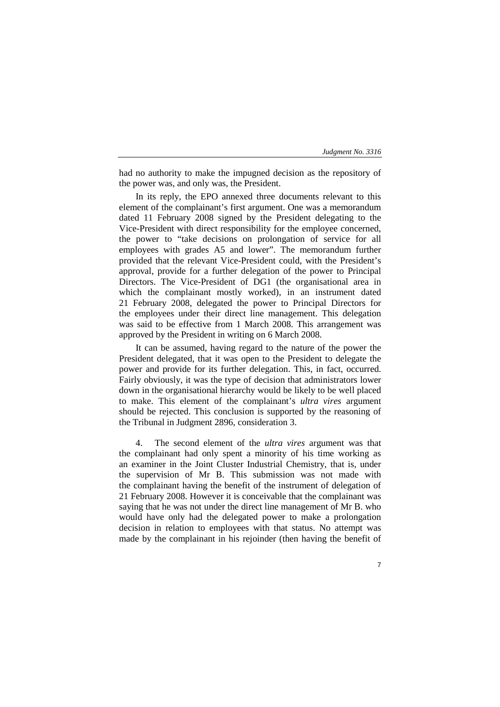had no authority to make the impugned decision as the repository of the power was, and only was, the President.

In its reply, the EPO annexed three documents relevant to this element of the complainant's first argument. One was a memorandum dated 11 February 2008 signed by the President delegating to the Vice-President with direct responsibility for the employee concerned, the power to "take decisions on prolongation of service for all employees with grades A5 and lower". The memorandum further provided that the relevant Vice-President could, with the President's approval, provide for a further delegation of the power to Principal Directors. The Vice-President of DG1 (the organisational area in which the complainant mostly worked), in an instrument dated 21 February 2008, delegated the power to Principal Directors for the employees under their direct line management. This delegation was said to be effective from 1 March 2008. This arrangement was approved by the President in writing on 6 March 2008.

It can be assumed, having regard to the nature of the power the President delegated, that it was open to the President to delegate the power and provide for its further delegation. This, in fact, occurred. Fairly obviously, it was the type of decision that administrators lower down in the organisational hierarchy would be likely to be well placed to make. This element of the complainant's *ultra vires* argument should be rejected. This conclusion is supported by the reasoning of the Tribunal in Judgment 2896, consideration 3.

4. The second element of the *ultra vires* argument was that the complainant had only spent a minority of his time working as an examiner in the Joint Cluster Industrial Chemistry, that is, under the supervision of Mr B. This submission was not made with the complainant having the benefit of the instrument of delegation of 21 February 2008. However it is conceivable that the complainant was saying that he was not under the direct line management of Mr B. who would have only had the delegated power to make a prolongation decision in relation to employees with that status. No attempt was made by the complainant in his rejoinder (then having the benefit of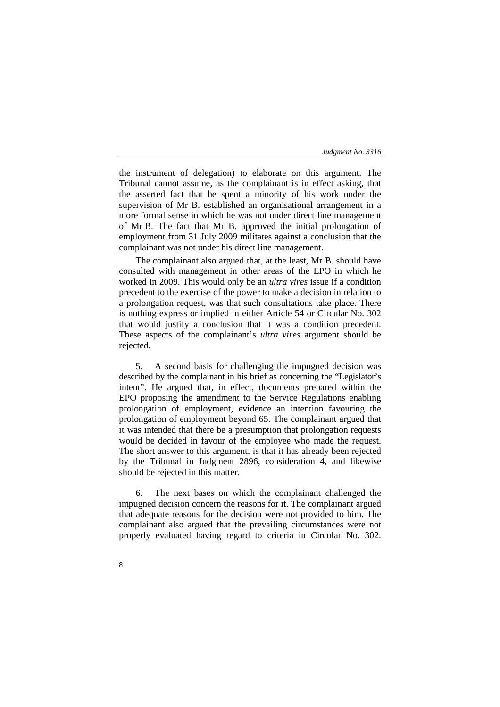the instrument of delegation) to elaborate on this argument. The Tribunal cannot assume, as the complainant is in effect asking, that the asserted fact that he spent a minority of his work under the supervision of Mr B. established an organisational arrangement in a more formal sense in which he was not under direct line management of Mr B. The fact that Mr B. approved the initial prolongation of employment from 31 July 2009 militates against a conclusion that the complainant was not under his direct line management.

The complainant also argued that, at the least, Mr B. should have consulted with management in other areas of the EPO in which he worked in 2009. This would only be an *ultra vires* issue if a condition precedent to the exercise of the power to make a decision in relation to a prolongation request, was that such consultations take place. There is nothing express or implied in either Article 54 or Circular No. 302 that would justify a conclusion that it was a condition precedent. These aspects of the complainant's *ultra vires* argument should be rejected.

5. A second basis for challenging the impugned decision was described by the complainant in his brief as concerning the "Legislator's intent". He argued that, in effect, documents prepared within the EPO proposing the amendment to the Service Regulations enabling prolongation of employment, evidence an intention favouring the prolongation of employment beyond 65. The complainant argued that it was intended that there be a presumption that prolongation requests would be decided in favour of the employee who made the request. The short answer to this argument, is that it has already been rejected by the Tribunal in Judgment 2896, consideration 4, and likewise should be rejected in this matter.

6. The next bases on which the complainant challenged the impugned decision concern the reasons for it. The complainant argued that adequate reasons for the decision were not provided to him. The complainant also argued that the prevailing circumstances were not properly evaluated having regard to criteria in Circular No. 302.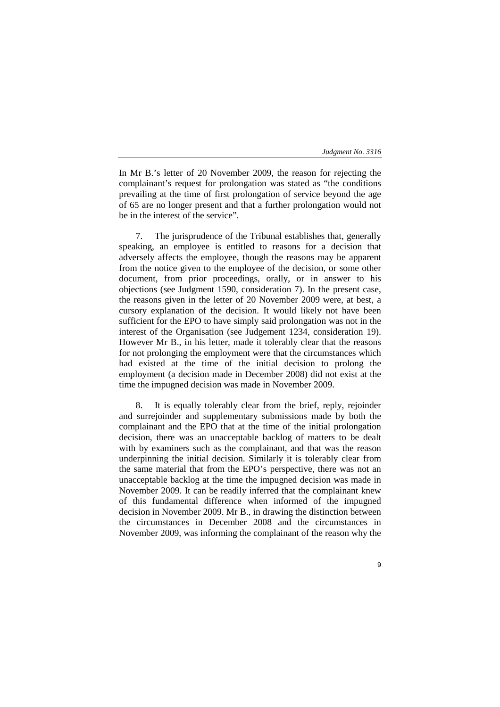In Mr B.'s letter of 20 November 2009, the reason for rejecting the complainant's request for prolongation was stated as "the conditions prevailing at the time of first prolongation of service beyond the age of 65 are no longer present and that a further prolongation would not be in the interest of the service".

7. The jurisprudence of the Tribunal establishes that, generally speaking, an employee is entitled to reasons for a decision that adversely affects the employee, though the reasons may be apparent from the notice given to the employee of the decision, or some other document, from prior proceedings, orally, or in answer to his objections (see Judgment 1590, consideration 7). In the present case, the reasons given in the letter of 20 November 2009 were, at best, a cursory explanation of the decision. It would likely not have been sufficient for the EPO to have simply said prolongation was not in the interest of the Organisation (see Judgement 1234, consideration 19). However Mr B., in his letter, made it tolerably clear that the reasons for not prolonging the employment were that the circumstances which had existed at the time of the initial decision to prolong the employment (a decision made in December 2008) did not exist at the time the impugned decision was made in November 2009.

8. It is equally tolerably clear from the brief, reply, rejoinder and surrejoinder and supplementary submissions made by both the complainant and the EPO that at the time of the initial prolongation decision, there was an unacceptable backlog of matters to be dealt with by examiners such as the complainant, and that was the reason underpinning the initial decision. Similarly it is tolerably clear from the same material that from the EPO's perspective, there was not an unacceptable backlog at the time the impugned decision was made in November 2009. It can be readily inferred that the complainant knew of this fundamental difference when informed of the impugned decision in November 2009. Mr B., in drawing the distinction between the circumstances in December 2008 and the circumstances in November 2009, was informing the complainant of the reason why the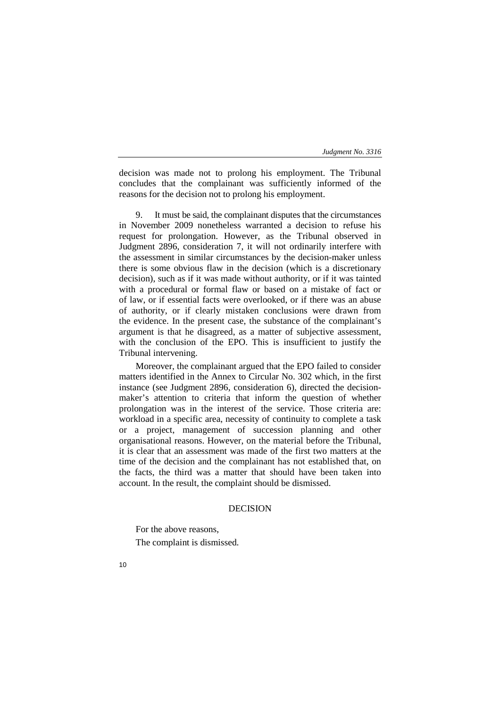decision was made not to prolong his employment. The Tribunal concludes that the complainant was sufficiently informed of the reasons for the decision not to prolong his employment.

9. It must be said, the complainant disputes that the circumstances in November 2009 nonetheless warranted a decision to refuse his request for prolongation. However, as the Tribunal observed in Judgment 2896, consideration 7, it will not ordinarily interfere with the assessment in similar circumstances by the decision-maker unless there is some obvious flaw in the decision (which is a discretionary decision), such as if it was made without authority, or if it was tainted with a procedural or formal flaw or based on a mistake of fact or of law, or if essential facts were overlooked, or if there was an abuse of authority, or if clearly mistaken conclusions were drawn from the evidence. In the present case, the substance of the complainant's argument is that he disagreed, as a matter of subjective assessment, with the conclusion of the EPO. This is insufficient to justify the Tribunal intervening.

Moreover, the complainant argued that the EPO failed to consider matters identified in the Annex to Circular No. 302 which, in the first instance (see Judgment 2896, consideration 6), directed the decisionmaker's attention to criteria that inform the question of whether prolongation was in the interest of the service. Those criteria are: workload in a specific area, necessity of continuity to complete a task or a project, management of succession planning and other organisational reasons. However, on the material before the Tribunal, it is clear that an assessment was made of the first two matters at the time of the decision and the complainant has not established that, on the facts, the third was a matter that should have been taken into account. In the result, the complaint should be dismissed.

## DECISION

For the above reasons, The complaint is dismissed.